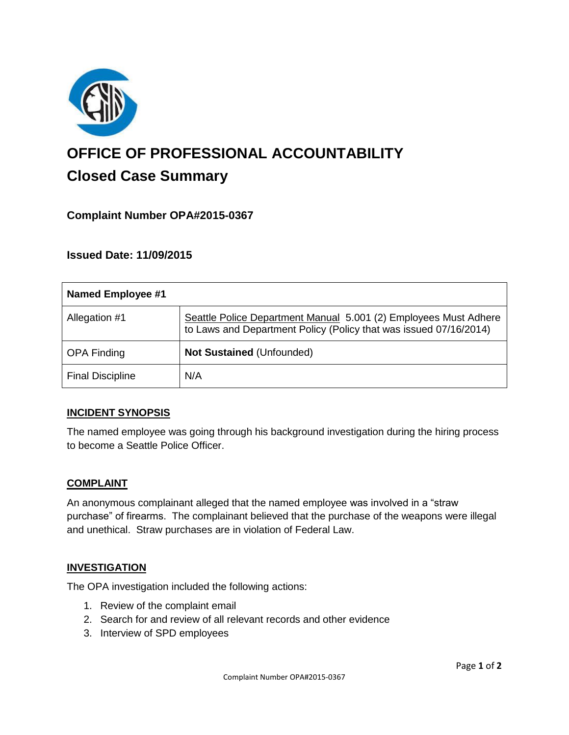

# **OFFICE OF PROFESSIONAL ACCOUNTABILITY Closed Case Summary**

## **Complaint Number OPA#2015-0367**

## **Issued Date: 11/09/2015**

| <b>Named Employee #1</b> |                                                                                                                                       |
|--------------------------|---------------------------------------------------------------------------------------------------------------------------------------|
| Allegation #1            | Seattle Police Department Manual 5.001 (2) Employees Must Adhere<br>to Laws and Department Policy (Policy that was issued 07/16/2014) |
| <b>OPA Finding</b>       | Not Sustained (Unfounded)                                                                                                             |
| <b>Final Discipline</b>  | N/A                                                                                                                                   |

## **INCIDENT SYNOPSIS**

The named employee was going through his background investigation during the hiring process to become a Seattle Police Officer.

#### **COMPLAINT**

An anonymous complainant alleged that the named employee was involved in a "straw purchase" of firearms. The complainant believed that the purchase of the weapons were illegal and unethical. Straw purchases are in violation of Federal Law.

#### **INVESTIGATION**

The OPA investigation included the following actions:

- 1. Review of the complaint email
- 2. Search for and review of all relevant records and other evidence
- 3. Interview of SPD employees